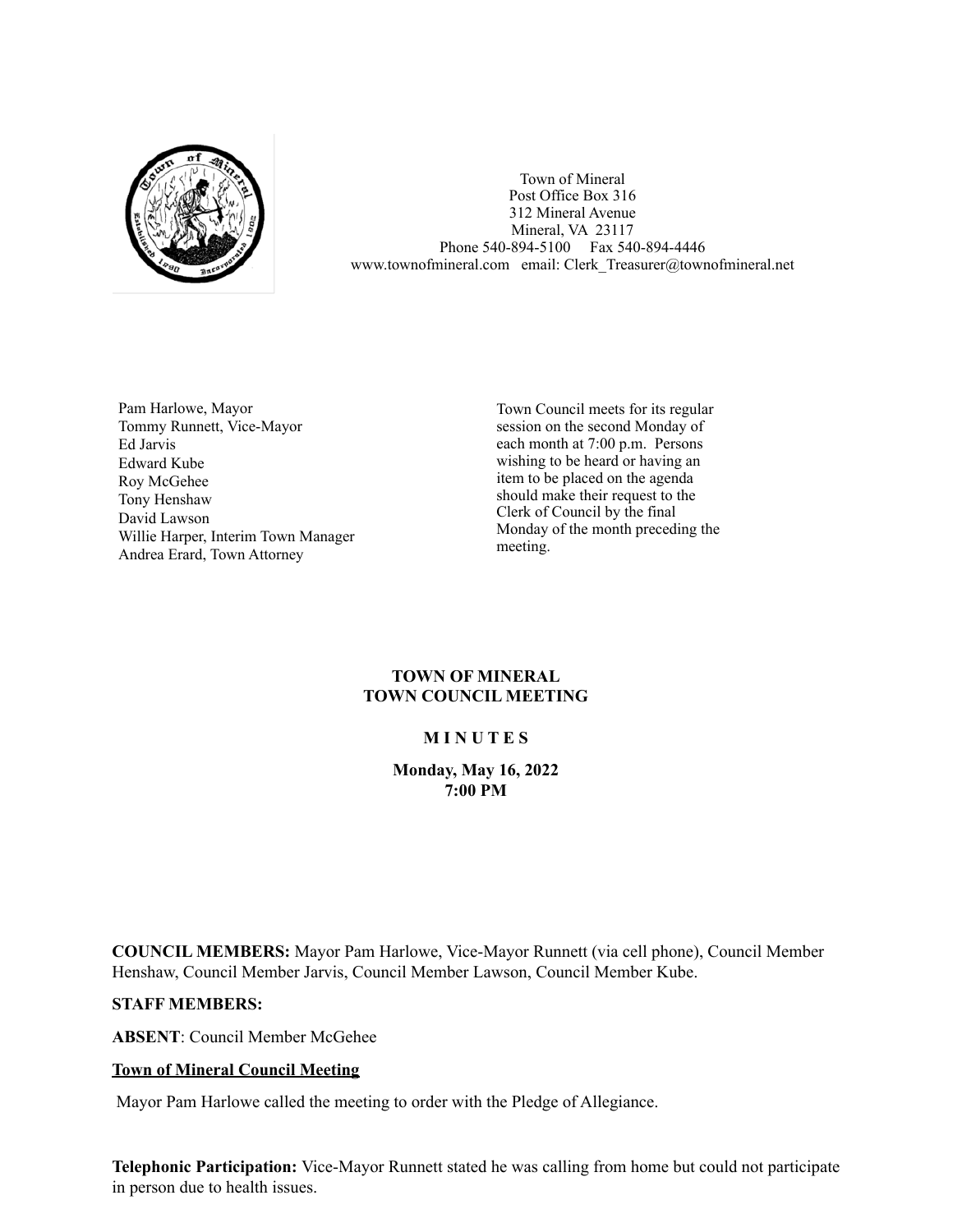

Town of Mineral Post Office Box 316 312 Mineral Avenue Mineral, VA 23117 Phone 540-894-5100 Fax 540-894-4446 www.townofmineral.com email: Clerk Treasurer@townofmineral.net

Pam Harlowe, Mayor Tommy Runnett, Vice-Mayor Ed Jarvis Edward Kube Roy McGehee Tony Henshaw David Lawson Willie Harper, Interim Town Manager Andrea Erard, Town Attorney

Town Council meets for its regular session on the second Monday of each month at 7:00 p.m. Persons wishing to be heard or having an item to be placed on the agenda should make their request to the Clerk of Council by the final Monday of the month preceding the meeting.

# **TOWN OF MINERAL TOWN COUNCIL MEETING**

# **M I N U T E S**

**Monday, May 16, 2022 7:00 PM**

**COUNCIL MEMBERS:** Mayor Pam Harlowe, Vice-Mayor Runnett (via cell phone), Council Member Henshaw, Council Member Jarvis, Council Member Lawson, Council Member Kube.

#### **STAFF MEMBERS:**

**ABSENT**: Council Member McGehee

# **Town of Mineral Council Meeting**

Mayor Pam Harlowe called the meeting to order with the Pledge of Allegiance.

**Telephonic Participation:** Vice-Mayor Runnett stated he was calling from home but could not participate in person due to health issues.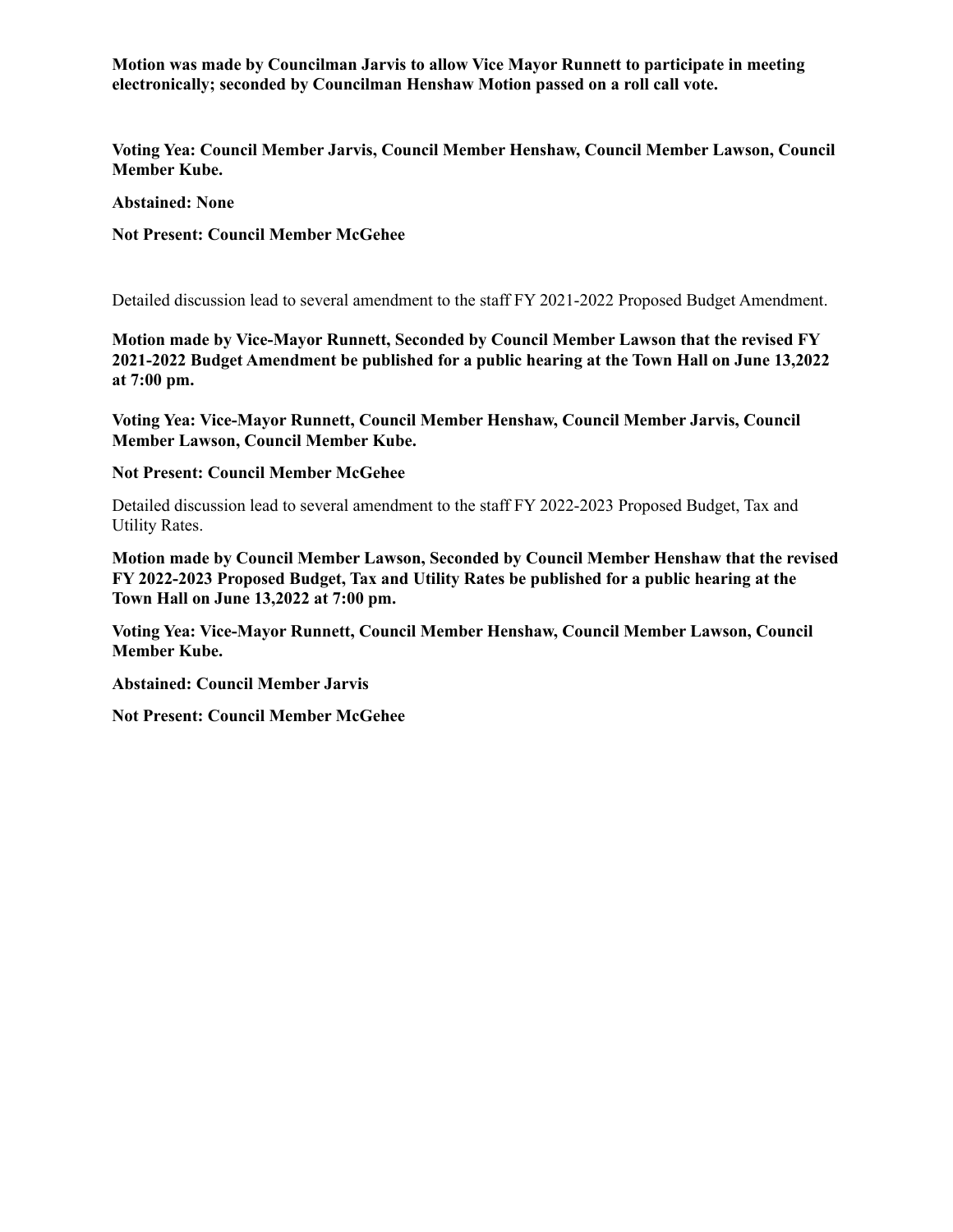**Motion was made by Councilman Jarvis to allow Vice Mayor Runnett to participate in meeting electronically; seconded by Councilman Henshaw Motion passed on a roll call vote.**

**Voting Yea: Council Member Jarvis, Council Member Henshaw, Council Member Lawson, Council Member Kube.**

**Abstained: None**

**Not Present: Council Member McGehee**

Detailed discussion lead to several amendment to the staff FY 2021-2022 Proposed Budget Amendment.

**Motion made by Vice-Mayor Runnett, Seconded by Council Member Lawson that the revised FY 2021-2022 Budget Amendment be published for a public hearing at the Town Hall on June 13,2022 at 7:00 pm.**

**Voting Yea: Vice-Mayor Runnett, Council Member Henshaw, Council Member Jarvis, Council Member Lawson, Council Member Kube.**

## **Not Present: Council Member McGehee**

Detailed discussion lead to several amendment to the staff FY 2022-2023 Proposed Budget, Tax and Utility Rates.

**Motion made by Council Member Lawson, Seconded by Council Member Henshaw that the revised FY 2022-2023 Proposed Budget, Tax and Utility Rates be published for a public hearing at the Town Hall on June 13,2022 at 7:00 pm.**

**Voting Yea: Vice-Mayor Runnett, Council Member Henshaw, Council Member Lawson, Council Member Kube.**

**Abstained: Council Member Jarvis**

**Not Present: Council Member McGehee**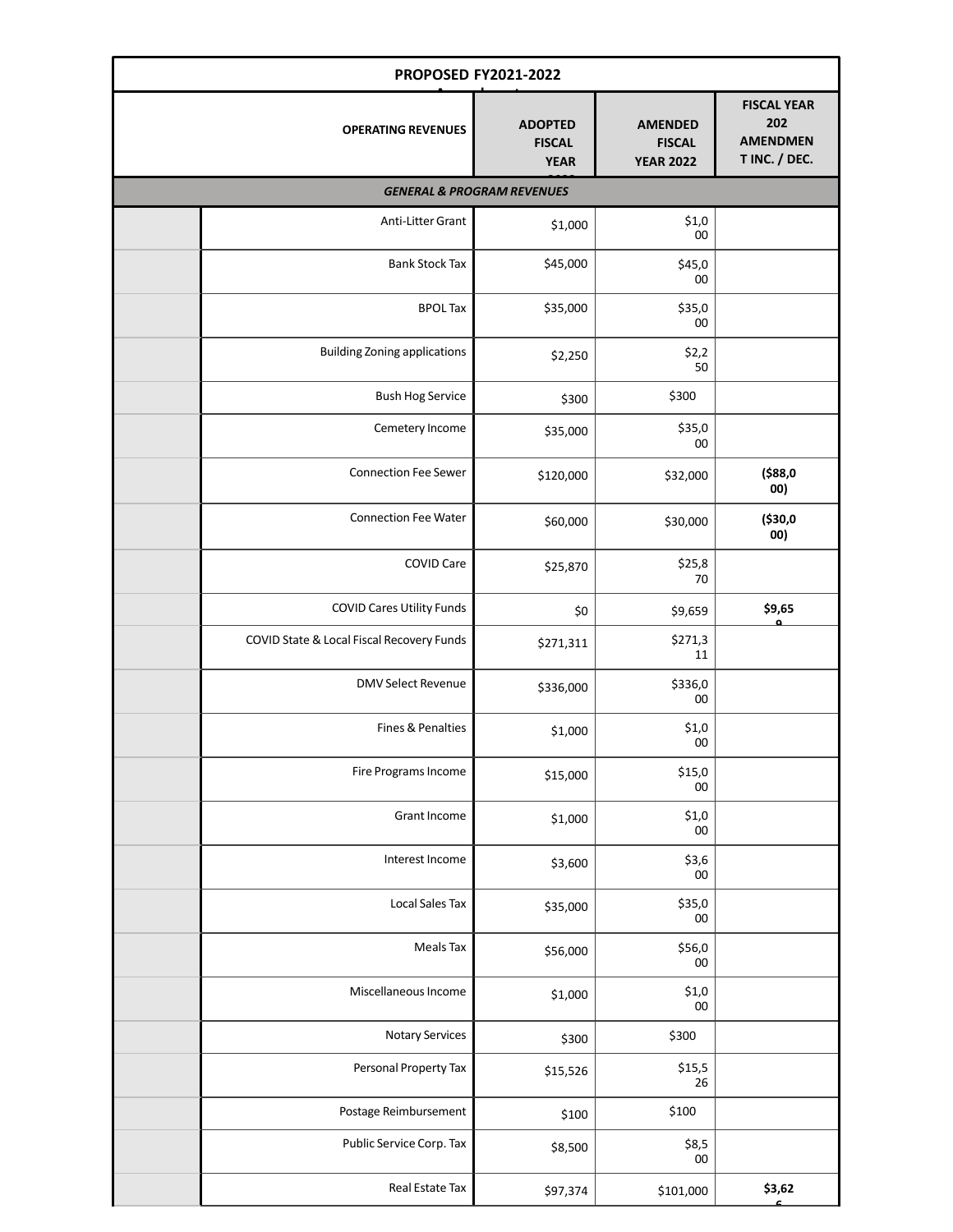| <b>PROPOSED FY2021-2022</b> |                                           |                                                |                                                     |                                                               |  |  |  |  |
|-----------------------------|-------------------------------------------|------------------------------------------------|-----------------------------------------------------|---------------------------------------------------------------|--|--|--|--|
|                             | <b>OPERATING REVENUES</b>                 | <b>ADOPTED</b><br><b>FISCAL</b><br><b>YEAR</b> | <b>AMENDED</b><br><b>FISCAL</b><br><b>YEAR 2022</b> | <b>FISCAL YEAR</b><br>202<br><b>AMENDMEN</b><br>T INC. / DEC. |  |  |  |  |
|                             | <b>GENERAL &amp; PROGRAM REVENUES</b>     |                                                |                                                     |                                                               |  |  |  |  |
|                             | Anti-Litter Grant                         | \$1,000                                        | \$1,0<br>00                                         |                                                               |  |  |  |  |
|                             | <b>Bank Stock Tax</b>                     | \$45,000                                       | \$45,0<br>00                                        |                                                               |  |  |  |  |
|                             | <b>BPOL Tax</b>                           | \$35,000                                       | \$35,0<br>${\bf 00}$                                |                                                               |  |  |  |  |
|                             | <b>Building Zoning applications</b>       | \$2,250                                        | \$2,2<br>50                                         |                                                               |  |  |  |  |
|                             | <b>Bush Hog Service</b>                   | \$300                                          | \$300                                               |                                                               |  |  |  |  |
|                             | Cemetery Income                           | \$35,000                                       | \$35,0<br>${\bf 00}$                                |                                                               |  |  |  |  |
|                             | <b>Connection Fee Sewer</b>               | \$120,000                                      | \$32,000                                            | ( \$88, 0]<br>00)                                             |  |  |  |  |
|                             | <b>Connection Fee Water</b>               | \$60,000                                       | \$30,000                                            | (\$30,0<br>00)                                                |  |  |  |  |
|                             | <b>COVID Care</b>                         | \$25,870                                       | \$25,8<br>70                                        |                                                               |  |  |  |  |
|                             | <b>COVID Cares Utility Funds</b>          | \$0                                            | \$9,659                                             | \$9,65                                                        |  |  |  |  |
|                             | COVID State & Local Fiscal Recovery Funds | \$271,311                                      | \$271,3<br>11                                       |                                                               |  |  |  |  |
|                             | <b>DMV Select Revenue</b>                 | \$336,000                                      | \$336,0<br>${\bf 00}$                               |                                                               |  |  |  |  |
|                             | Fines & Penalties                         | \$1,000                                        | \$1,0<br>$00\,$                                     |                                                               |  |  |  |  |
|                             | Fire Programs Income                      | \$15,000                                       | \$15,0<br>$00\,$                                    |                                                               |  |  |  |  |
|                             | <b>Grant Income</b>                       | \$1,000                                        | \$1,0<br>${\bf 00}$                                 |                                                               |  |  |  |  |
|                             | Interest Income                           | \$3,600                                        | \$3,6<br>${\bf 00}$                                 |                                                               |  |  |  |  |
|                             | <b>Local Sales Tax</b>                    | \$35,000                                       | \$35,0<br>${\bf 00}$                                |                                                               |  |  |  |  |
|                             | Meals Tax                                 | \$56,000                                       | \$56,0<br>00                                        |                                                               |  |  |  |  |
|                             | Miscellaneous Income                      | \$1,000                                        | \$1,0<br>${\bf 00}$                                 |                                                               |  |  |  |  |
|                             | Notary Services                           | \$300                                          | \$300                                               |                                                               |  |  |  |  |
|                             | Personal Property Tax                     | \$15,526                                       | \$15,5<br>26                                        |                                                               |  |  |  |  |
|                             | Postage Reimbursement                     | \$100                                          | \$100                                               |                                                               |  |  |  |  |
|                             | Public Service Corp. Tax                  | \$8,500                                        | \$8,5<br>00                                         |                                                               |  |  |  |  |
|                             | Real Estate Tax                           | \$97,374                                       | \$101,000                                           | \$3,62                                                        |  |  |  |  |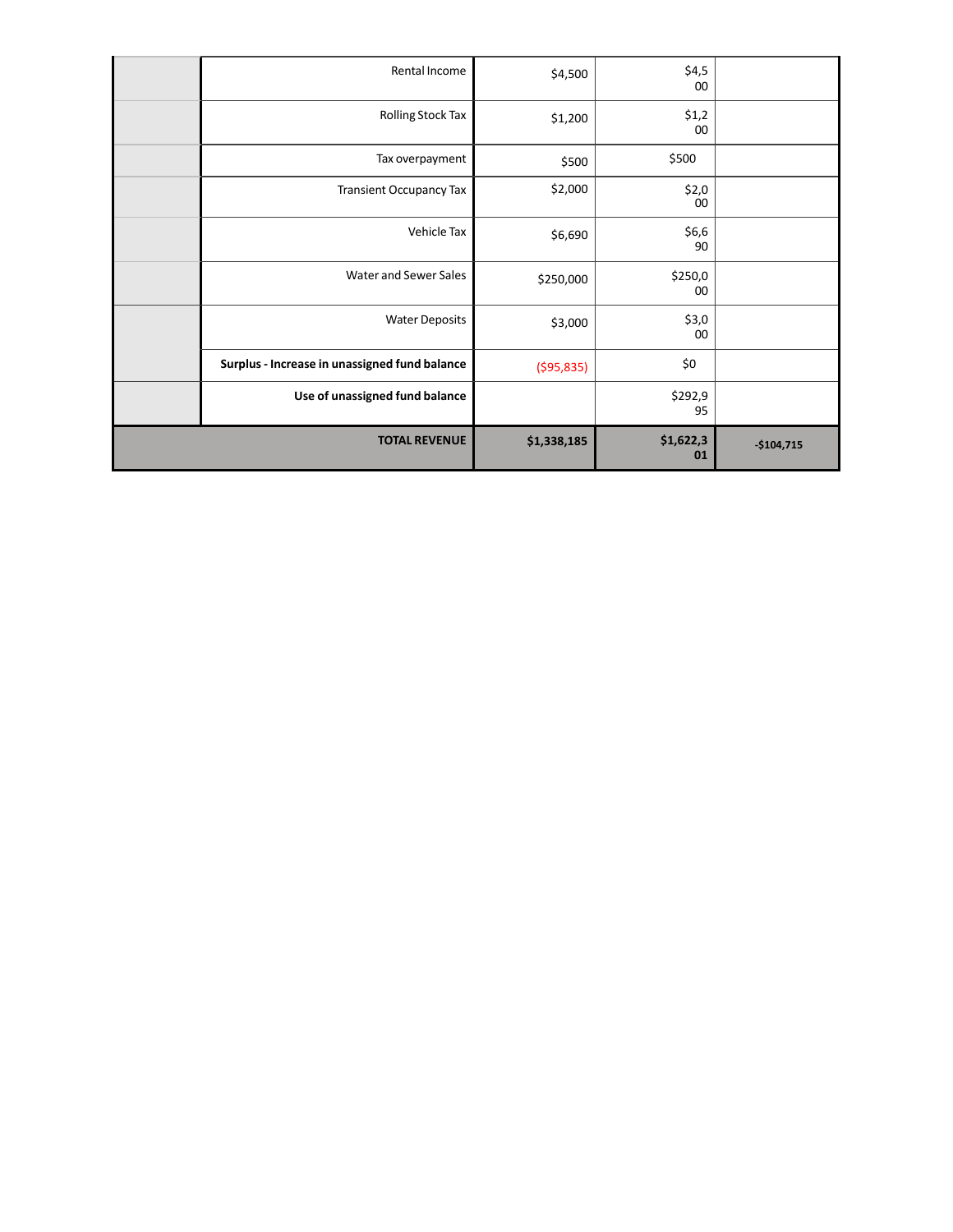| Rental Income                                 | \$4,500      | \$4,5<br>00     |             |
|-----------------------------------------------|--------------|-----------------|-------------|
| Rolling Stock Tax                             | \$1,200      | \$1,2<br>00     |             |
| Tax overpayment                               | \$500        | \$500           |             |
| <b>Transient Occupancy Tax</b>                | \$2,000      | \$2,0<br>00     |             |
| Vehicle Tax                                   | \$6,690      | \$6,6<br>90     |             |
| Water and Sewer Sales                         | \$250,000    | \$250,0<br>00   |             |
| <b>Water Deposits</b>                         | \$3,000      | \$3,0<br>00     |             |
| Surplus - Increase in unassigned fund balance | ( \$95, 835) | \$0             |             |
| Use of unassigned fund balance                |              | \$292,9<br>95   |             |
| <b>TOTAL REVENUE</b>                          | \$1,338,185  | \$1,622,3<br>01 | $-$104,715$ |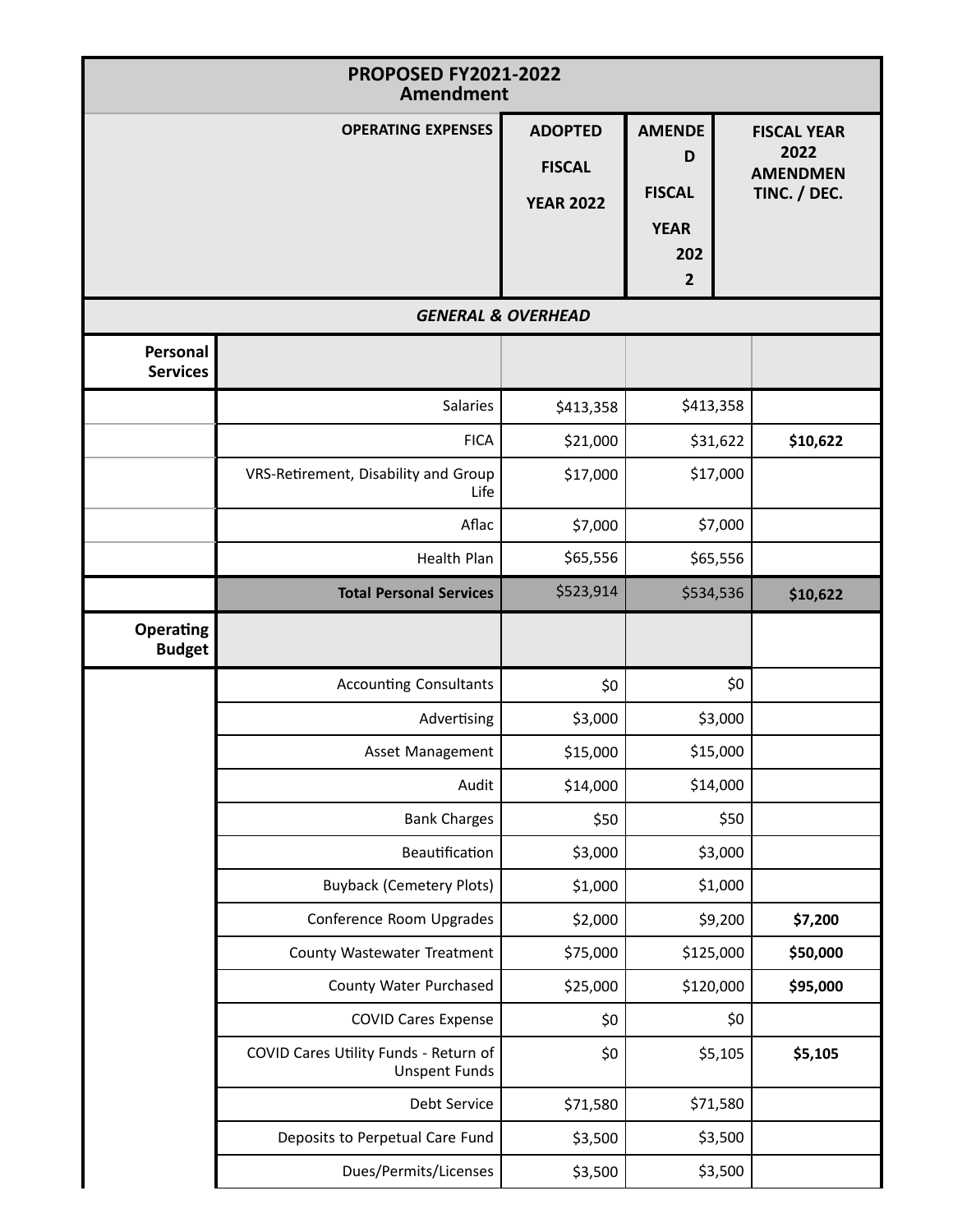| <b>PROPOSED FY2021-2022</b><br><b>Amendment</b> |                                                               |                               |                |                         |  |  |
|-------------------------------------------------|---------------------------------------------------------------|-------------------------------|----------------|-------------------------|--|--|
|                                                 | <b>OPERATING EXPENSES</b>                                     | <b>ADOPTED</b>                | <b>AMENDE</b>  | <b>FISCAL YEAR</b>      |  |  |
|                                                 |                                                               | <b>FISCAL</b>                 | D              | 2022<br><b>AMENDMEN</b> |  |  |
|                                                 |                                                               | <b>YEAR 2022</b>              | <b>FISCAL</b>  | TINC. / DEC.            |  |  |
|                                                 |                                                               |                               | <b>YEAR</b>    |                         |  |  |
|                                                 |                                                               |                               | 202            |                         |  |  |
|                                                 |                                                               | <b>GENERAL &amp; OVERHEAD</b> | $\overline{2}$ |                         |  |  |
|                                                 |                                                               |                               |                |                         |  |  |
| Personal<br><b>Services</b>                     |                                                               |                               |                |                         |  |  |
|                                                 | Salaries                                                      | \$413,358                     | \$413,358      |                         |  |  |
|                                                 | <b>FICA</b>                                                   | \$21,000                      | \$31,622       | \$10,622                |  |  |
|                                                 | VRS-Retirement, Disability and Group<br>Life                  | \$17,000                      | \$17,000       |                         |  |  |
|                                                 | Aflac                                                         | \$7,000                       | \$7,000        |                         |  |  |
|                                                 | Health Plan                                                   | \$65,556                      | \$65,556       |                         |  |  |
|                                                 | <b>Total Personal Services</b>                                | \$523,914                     | \$534,536      | \$10,622                |  |  |
| Operating<br><b>Budget</b>                      |                                                               |                               |                |                         |  |  |
|                                                 | <b>Accounting Consultants</b>                                 | \$0                           |                | \$0                     |  |  |
|                                                 | Advertising                                                   | \$3,000                       | \$3,000        |                         |  |  |
|                                                 | Asset Management                                              | \$15,000                      | \$15,000       |                         |  |  |
|                                                 | Audit                                                         | \$14,000                      | \$14,000       |                         |  |  |
|                                                 | <b>Bank Charges</b>                                           | \$50                          |                | \$50                    |  |  |
|                                                 | Beautification                                                | \$3,000                       | \$3,000        |                         |  |  |
|                                                 | <b>Buyback (Cemetery Plots)</b>                               | \$1,000                       | \$1,000        |                         |  |  |
|                                                 | Conference Room Upgrades                                      | \$2,000                       | \$9,200        | \$7,200                 |  |  |
|                                                 | County Wastewater Treatment                                   | \$75,000                      | \$125,000      | \$50,000                |  |  |
|                                                 | County Water Purchased                                        | \$25,000                      | \$120,000      | \$95,000                |  |  |
|                                                 | <b>COVID Cares Expense</b>                                    | \$0                           |                | \$0                     |  |  |
|                                                 | COVID Cares Utility Funds - Return of<br><b>Unspent Funds</b> | \$0                           | \$5,105        | \$5,105                 |  |  |
|                                                 | Debt Service                                                  | \$71,580                      | \$71,580       |                         |  |  |
|                                                 | Deposits to Perpetual Care Fund                               | \$3,500                       | \$3,500        |                         |  |  |
|                                                 | Dues/Permits/Licenses                                         | \$3,500                       | \$3,500        |                         |  |  |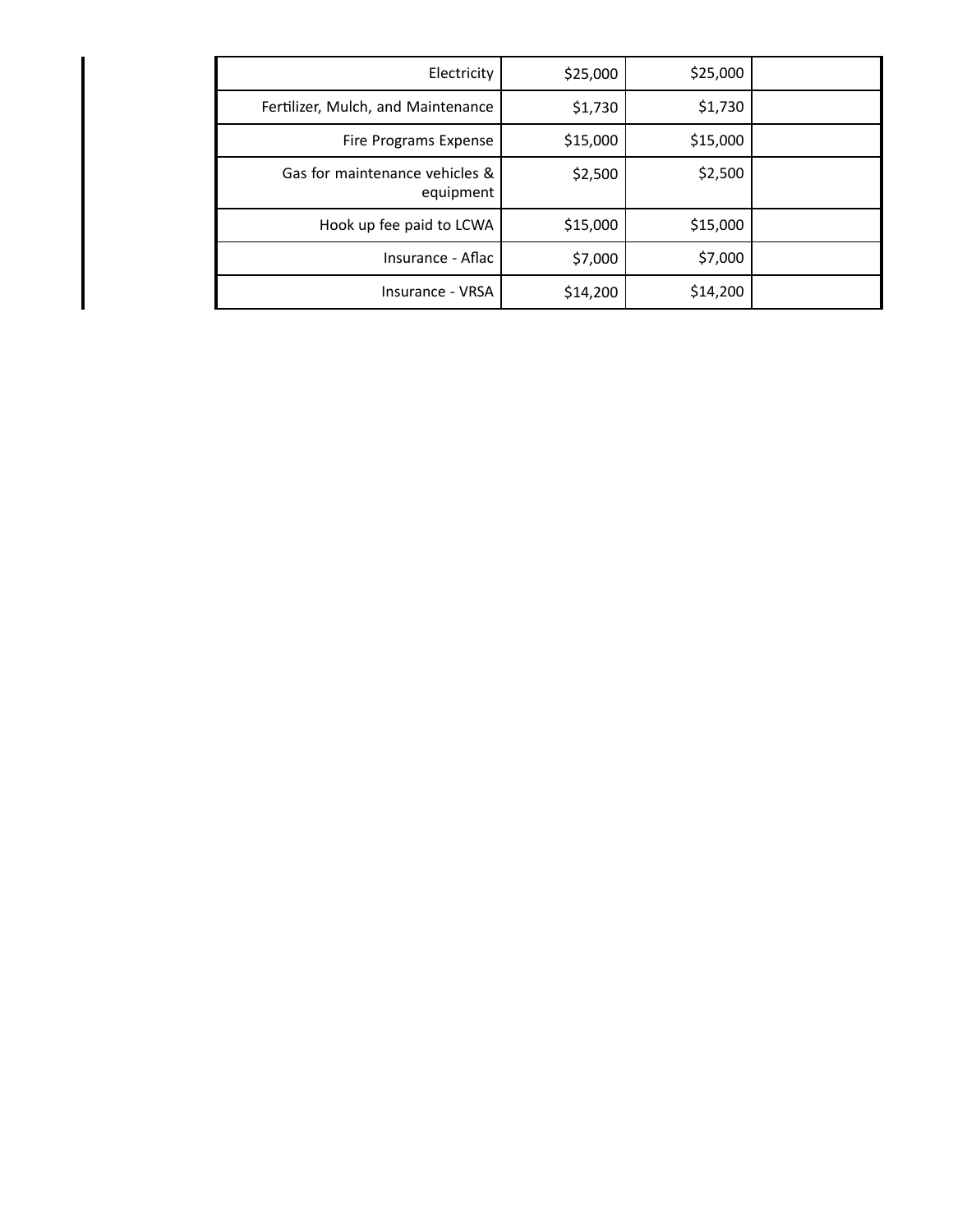| Electricity                                 | \$25,000 | \$25,000 |  |
|---------------------------------------------|----------|----------|--|
| Fertilizer, Mulch, and Maintenance          | \$1,730  | \$1,730  |  |
| Fire Programs Expense                       | \$15,000 | \$15,000 |  |
| Gas for maintenance vehicles &<br>equipment | \$2,500  | \$2,500  |  |
| Hook up fee paid to LCWA                    | \$15,000 | \$15,000 |  |
| Insurance - Aflac                           | \$7,000  | \$7,000  |  |
| Insurance - VRSA                            | \$14,200 | \$14,200 |  |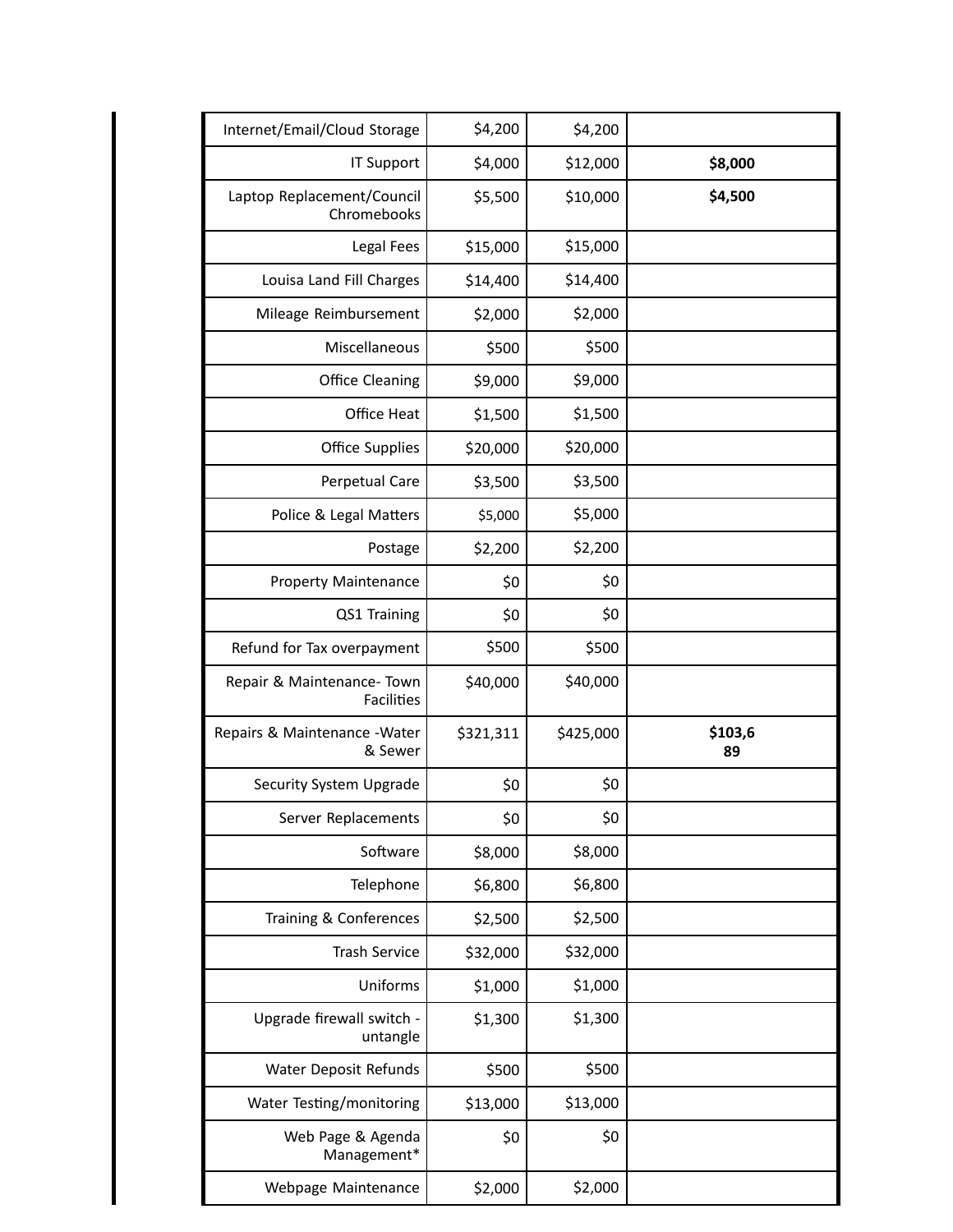| Internet/Email/Cloud Storage                    | \$4,200   | \$4,200   |               |
|-------------------------------------------------|-----------|-----------|---------------|
| IT Support                                      | \$4,000   | \$12,000  | \$8,000       |
| Laptop Replacement/Council<br>Chromebooks       | \$5,500   | \$10,000  | \$4,500       |
| Legal Fees                                      | \$15,000  | \$15,000  |               |
| Louisa Land Fill Charges                        | \$14,400  | \$14,400  |               |
| Mileage Reimbursement                           | \$2,000   | \$2,000   |               |
| Miscellaneous                                   | \$500     | \$500     |               |
| Office Cleaning                                 | \$9,000   | \$9,000   |               |
| Office Heat                                     | \$1,500   | \$1,500   |               |
| Office Supplies                                 | \$20,000  | \$20,000  |               |
| Perpetual Care                                  | \$3,500   | \$3,500   |               |
| Police & Legal Matters                          | \$5,000   | \$5,000   |               |
| Postage                                         | \$2,200   | \$2,200   |               |
| <b>Property Maintenance</b>                     | \$0       | \$0       |               |
| QS1 Training                                    | \$0       | \$0       |               |
| Refund for Tax overpayment                      | \$500     | \$500     |               |
| Repair & Maintenance- Town<br><b>Facilities</b> | \$40,000  | \$40,000  |               |
| Repairs & Maintenance - Water<br>& Sewer        | \$321,311 | \$425,000 | \$103,6<br>89 |
| Security System Upgrade                         | \$0       | \$0       |               |
| Server Replacements                             | \$0       | \$0       |               |
| Software                                        | \$8,000   | \$8,000   |               |
| Telephone                                       | \$6,800   | \$6,800   |               |
| Training & Conferences                          | \$2,500   | \$2,500   |               |
| <b>Trash Service</b>                            | \$32,000  | \$32,000  |               |
| Uniforms                                        | \$1,000   | \$1,000   |               |
| Upgrade firewall switch -<br>untangle           | \$1,300   | \$1,300   |               |
| Water Deposit Refunds                           | \$500     | \$500     |               |
| Water Testing/monitoring                        | \$13,000  | \$13,000  |               |
| Web Page & Agenda<br>Management*                | \$0       | \$0       |               |
| Webpage Maintenance                             | \$2,000   | \$2,000   |               |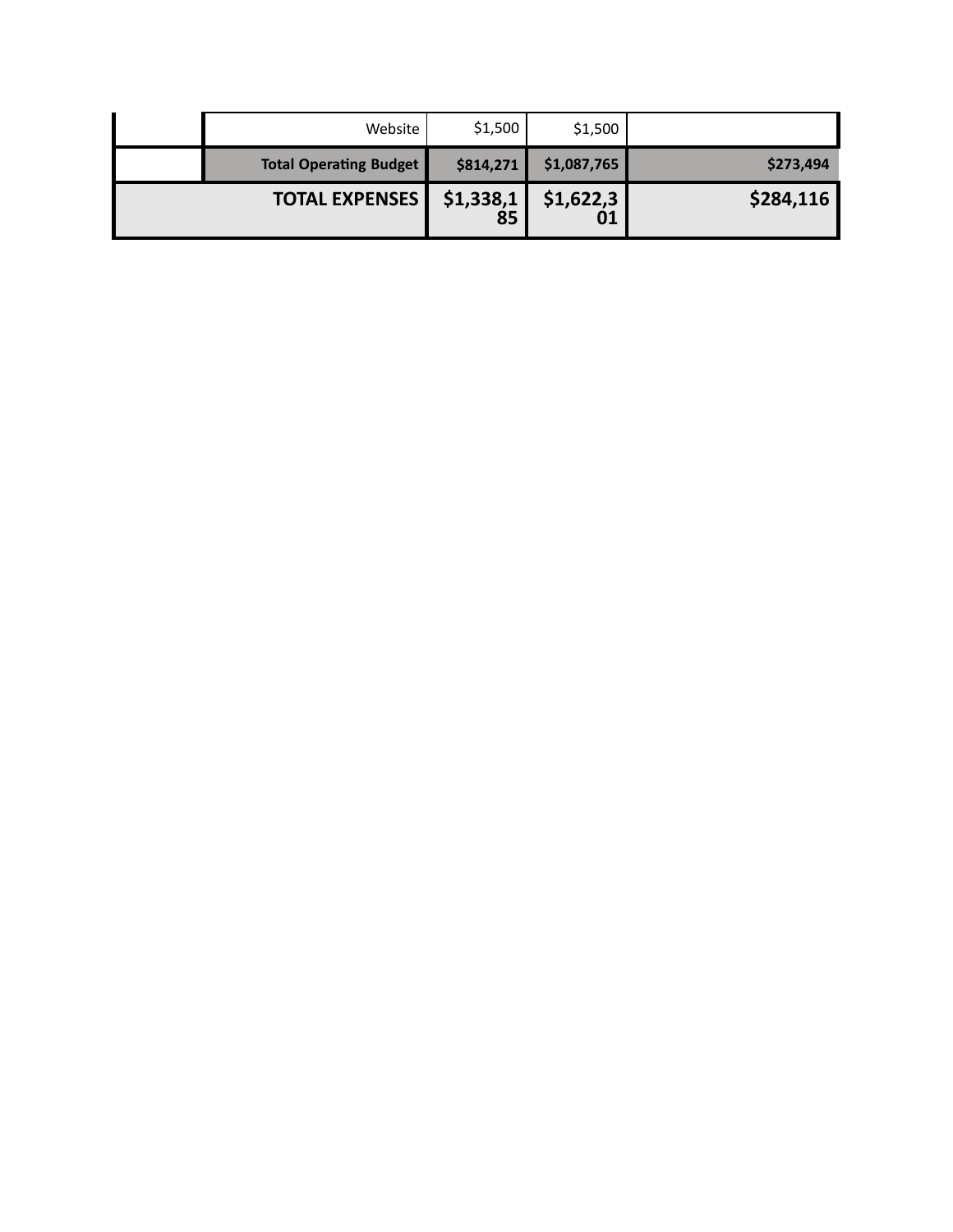| Website                       | \$1,500         | \$1,500         |           |
|-------------------------------|-----------------|-----------------|-----------|
| <b>Total Operating Budget</b> | \$814,271       | \$1,087,765     | \$273,494 |
| <b>TOTAL EXPENSES</b>         | \$1,338,1<br>85 | \$1,622,3<br>01 | \$284,116 |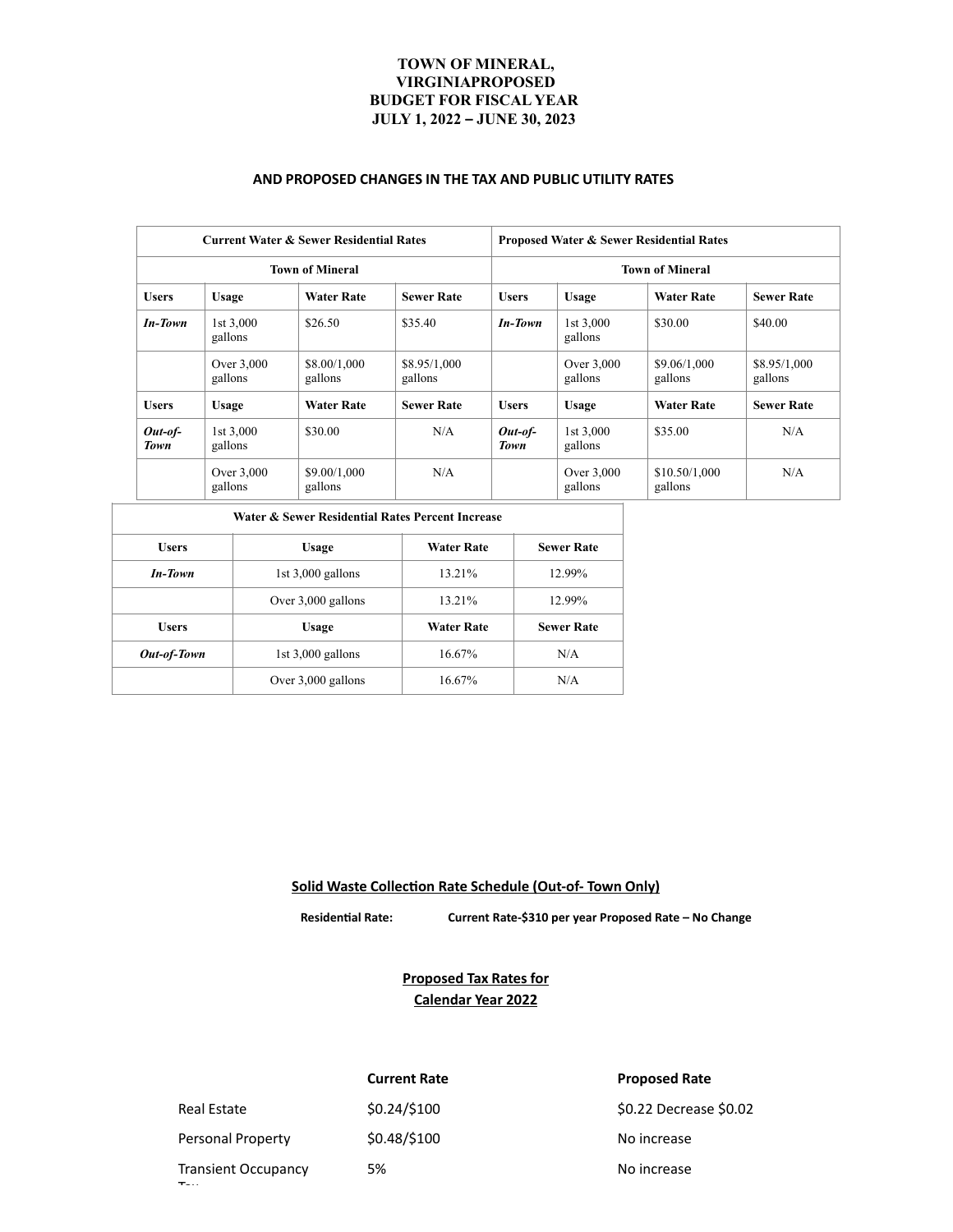## **TOWN OF MINERAL, VIRGINIAPROPOSED BUDGET FOR FISCALYEAR JULY 1, 2022 – JUNE 30, 2023**

#### **AND PROPOSED CHANGES IN THE TAX AND PUBLIC UTILITY RATES**

| <b>Current Water &amp; Sewer Residential Rates</b> |                         |                         | <b>Proposed Water &amp; Sewer Residential Rates</b> |                          |                         |                          |                         |
|----------------------------------------------------|-------------------------|-------------------------|-----------------------------------------------------|--------------------------|-------------------------|--------------------------|-------------------------|
| <b>Town of Mineral</b>                             |                         |                         |                                                     | <b>Town of Mineral</b>   |                         |                          |                         |
| <b>Users</b>                                       | Usage                   | <b>Water Rate</b>       | <b>Sewer Rate</b>                                   | <b>Users</b>             | <b>Usage</b>            | <b>Water Rate</b>        | <b>Sewer Rate</b>       |
| <b>In-Town</b>                                     | $1st\,3,000$<br>gallons | \$26.50                 | \$35.40                                             | <b>In-Town</b>           | $1st\,3,000$<br>gallons | \$30.00                  | \$40.00                 |
|                                                    | Over 3,000<br>gallons   | \$8.00/1,000<br>gallons | \$8,95/1,000<br>gallons                             |                          | Over 3,000<br>gallons   | \$9.06/1,000<br>gallons  | \$8.95/1,000<br>gallons |
| <b>Users</b>                                       | <b>Usage</b>            | <b>Water Rate</b>       | <b>Sewer Rate</b>                                   | <b>Users</b>             | <b>Usage</b>            | <b>Water Rate</b>        | <b>Sewer Rate</b>       |
| $Out-of-$<br>Town                                  | $1st\,3.000$<br>gallons | \$30.00                 | N/A                                                 | $Out-of-$<br><b>Town</b> | $1st\,3,000$<br>gallons | \$35.00                  | N/A                     |
|                                                    | Over 3,000<br>gallons   | \$9.00/1,000<br>gallons | N/A                                                 |                          | Over 3,000<br>gallons   | \$10.50/1,000<br>gallons | N/A                     |

| Water & Sewer Residential Rates Percent Increase |                     |                   |                   |  |  |  |
|--------------------------------------------------|---------------------|-------------------|-------------------|--|--|--|
| <b>Users</b>                                     | Usage               | <b>Water Rate</b> | <b>Sewer Rate</b> |  |  |  |
| <b>In-Town</b>                                   | 1st $3,000$ gallons | 13.21%            | 12.99%            |  |  |  |
|                                                  | Over 3,000 gallons  | 13.21%            | 12.99%            |  |  |  |
| <b>Users</b>                                     | Usage               | <b>Water Rate</b> | <b>Sewer Rate</b> |  |  |  |
| Out-of-Town                                      | 1st $3,000$ gallons | 16.67%            | N/A               |  |  |  |
|                                                  | Over 3,000 gallons  | 16.67%            | N/A               |  |  |  |

**Solid Waste Collection Rate Schedule (Out-of- Town Only)**

 **Residential Rate: Current Rate-\$310 per year Proposed Rate – No Change**

**Proposed Tax Rates for Calendar Year 2022**

 $\mathbf{r}_{\mathrm{max}}$ 

Transient Occupancy

**Current Rate Proposed Rate** Personal Property  $$0.48/$100$  No increase

Real Estate  $$0.24$ /\$100  $$0.22$  Decrease \$0.02

5% No increase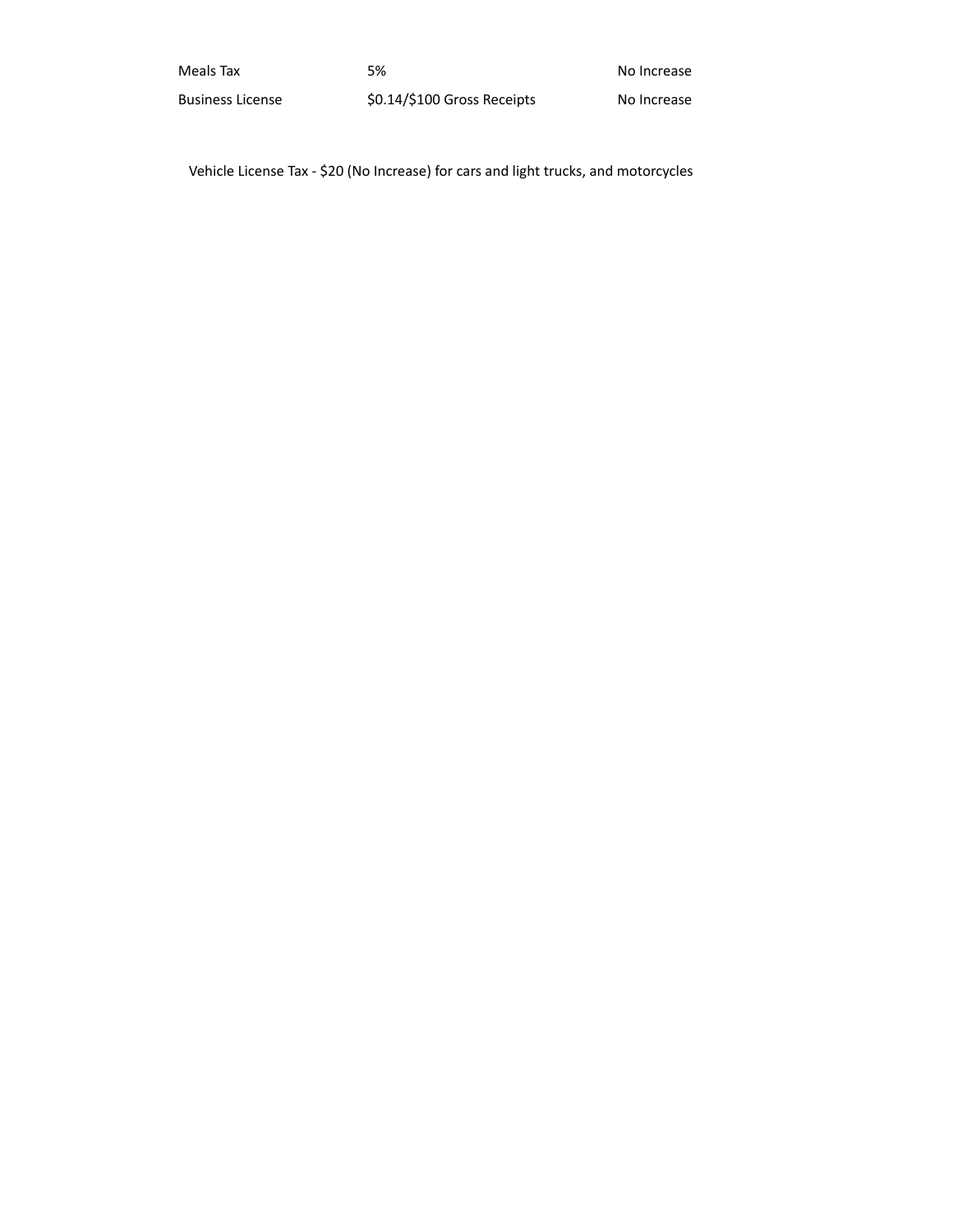| Meals Tax               | 5%                          | No Increase |
|-------------------------|-----------------------------|-------------|
| <b>Business License</b> | \$0.14/\$100 Gross Receipts | No Increase |

Vehicle License Tax - \$20 (No Increase) for cars and light trucks, and motorcycles